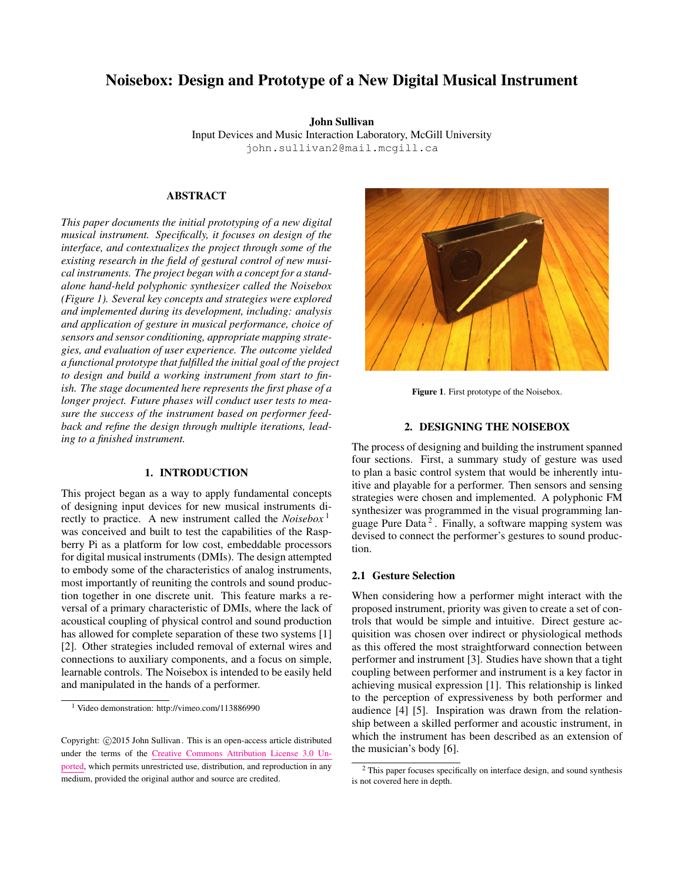# Noisebox: Design and Prototype of a New Digital Musical Instrument

John Sullivan Input Devices and Music Interaction Laboratory, McGill University [john.sullivan2@mail.mcgill.ca](mailto:john.sullivan2@mail.mcgill.ca)

# ABSTRACT

*This paper documents the initial prototyping of a new digital musical instrument. Specifically, it focuses on design of the interface, and contextualizes the project through some of the existing research in the field of gestural control of new musical instruments. The project began with a concept for a standalone hand-held polyphonic synthesizer called the Noisebox (Figure [1\)](#page-0-0). Several key concepts and strategies were explored and implemented during its development, including: analysis and application of gesture in musical performance, choice of sensors and sensor conditioning, appropriate mapping strategies, and evaluation of user experience. The outcome yielded a functional prototype that fulfilled the initial goal of the project to design and build a working instrument from start to finish. The stage documented here represents the first phase of a longer project. Future phases will conduct user tests to measure the success of the instrument based on performer feedback and refine the design through multiple iterations, leading to a finished instrument.*

# 1. INTRODUCTION

This project began as a way to apply fundamental concepts of designing input devices for new musical instruments directly to practice. A new instrument called the *Noisebox* [1](#page-0-1) was conceived and built to test the capabilities of the Raspberry Pi as a platform for low cost, embeddable processors for digital musical instruments (DMIs). The design attempted to embody some of the characteristics of analog instruments, most importantly of reuniting the controls and sound production together in one discrete unit. This feature marks a reversal of a primary characteristic of DMIs, where the lack of acoustical coupling of physical control and sound production has allowed for complete separation of these two systems [\[1\]](#page-3-0) [\[2\]](#page-3-1). Other strategies included removal of external wires and connections to auxiliary components, and a focus on simple, learnable controls. The Noisebox is intended to be easily held and manipulated in the hands of a performer.

<span id="page-0-0"></span>

Figure 1. First prototype of the Noisebox.

#### 2. DESIGNING THE NOISEBOX

The process of designing and building the instrument spanned four sections. First, a summary study of gesture was used to plan a basic control system that would be inherently intuitive and playable for a performer. Then sensors and sensing strategies were chosen and implemented. A polyphonic FM synthesizer was programmed in the visual programming lan-guage Pure Data<sup>[2](#page-0-2)</sup>. Finally, a software mapping system was devised to connect the performer's gestures to sound production.

#### 2.1 Gesture Selection

When considering how a performer might interact with the proposed instrument, priority was given to create a set of controls that would be simple and intuitive. Direct gesture acquisition was chosen over indirect or physiological methods as this offered the most straightforward connection between performer and instrument [\[3\]](#page-3-2). Studies have shown that a tight coupling between performer and instrument is a key factor in achieving musical expression [\[1\]](#page-3-0). This relationship is linked to the perception of expressiveness by both performer and audience [\[4\]](#page-3-3) [\[5\]](#page-3-4). Inspiration was drawn from the relationship between a skilled performer and acoustic instrument, in which the instrument has been described as an extension of the musician's body [\[6\]](#page-3-5).

<span id="page-0-1"></span><sup>1</sup> Video demonstration: <http://vimeo.com/113886990>

Copyright: ©2015 John Sullivan. This is an open-access article distributed under the terms of the Creative Commons [Attribution](http://creativecommons.org/licenses/by/3.0/) License 3.0 Un[ported,](http://creativecommons.org/licenses/by/3.0/) which permits unrestricted use, distribution, and reproduction in any medium, provided the original author and source are credited.

<span id="page-0-2"></span> $2$  This paper focuses specifically on interface design, and sound synthesis is not covered here in depth.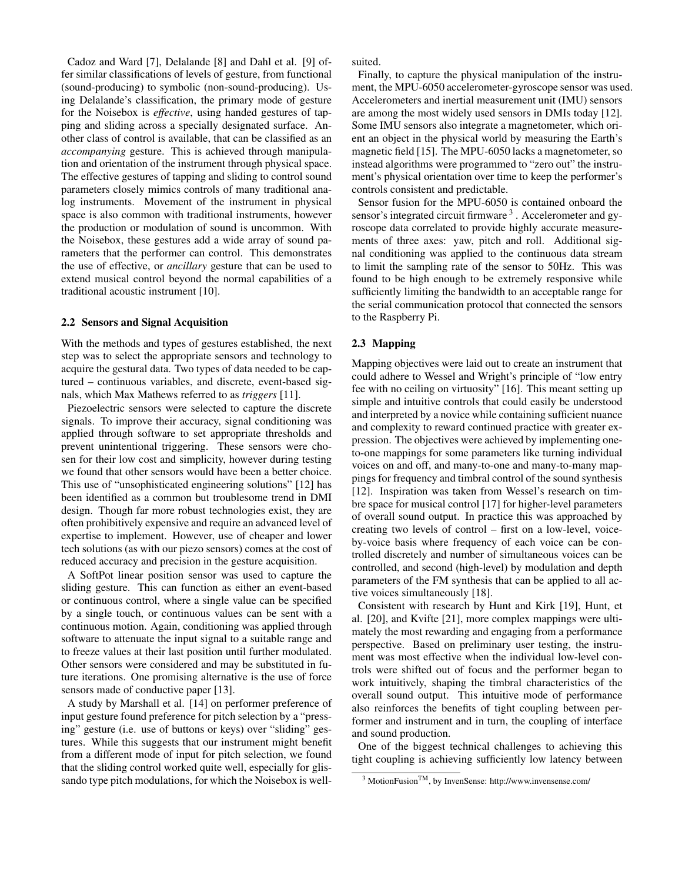Cadoz and Ward [\[7\]](#page-3-6), Delalande [\[8\]](#page-3-7) and Dahl et al. [\[9\]](#page-3-8) offer similar classifications of levels of gesture, from functional (sound-producing) to symbolic (non-sound-producing). Using Delalande's classification, the primary mode of gesture for the Noisebox is *effective*, using handed gestures of tapping and sliding across a specially designated surface. Another class of control is available, that can be classified as an *accompanying* gesture. This is achieved through manipulation and orientation of the instrument through physical space. The effective gestures of tapping and sliding to control sound parameters closely mimics controls of many traditional analog instruments. Movement of the instrument in physical space is also common with traditional instruments, however the production or modulation of sound is uncommon. With the Noisebox, these gestures add a wide array of sound parameters that the performer can control. This demonstrates the use of effective, or *ancillary* gesture that can be used to extend musical control beyond the normal capabilities of a traditional acoustic instrument [\[10\]](#page-3-9).

#### 2.2 Sensors and Signal Acquisition

With the methods and types of gestures established, the next step was to select the appropriate sensors and technology to acquire the gestural data. Two types of data needed to be captured – continuous variables, and discrete, event-based signals, which Max Mathews referred to as *triggers* [\[11\]](#page-3-10).

Piezoelectric sensors were selected to capture the discrete signals. To improve their accuracy, signal conditioning was applied through software to set appropriate thresholds and prevent unintentional triggering. These sensors were chosen for their low cost and simplicity, however during testing we found that other sensors would have been a better choice. This use of "unsophisticated engineering solutions" [\[12\]](#page-3-11) has been identified as a common but troublesome trend in DMI design. Though far more robust technologies exist, they are often prohibitively expensive and require an advanced level of expertise to implement. However, use of cheaper and lower tech solutions (as with our piezo sensors) comes at the cost of reduced accuracy and precision in the gesture acquisition.

A SoftPot linear position sensor was used to capture the sliding gesture. This can function as either an event-based or continuous control, where a single value can be specified by a single touch, or continuous values can be sent with a continuous motion. Again, conditioning was applied through software to attenuate the input signal to a suitable range and to freeze values at their last position until further modulated. Other sensors were considered and may be substituted in future iterations. One promising alternative is the use of force sensors made of conductive paper [\[13\]](#page-3-12).

A study by Marshall et al. [\[14\]](#page-3-13) on performer preference of input gesture found preference for pitch selection by a "pressing" gesture (i.e. use of buttons or keys) over "sliding" gestures. While this suggests that our instrument might benefit from a different mode of input for pitch selection, we found that the sliding control worked quite well, especially for glissando type pitch modulations, for which the Noisebox is wellsuited.

Finally, to capture the physical manipulation of the instrument, the MPU-6050 accelerometer-gyroscope sensor was used. Accelerometers and inertial measurement unit (IMU) sensors are among the most widely used sensors in DMIs today [\[12\]](#page-3-11). Some IMU sensors also integrate a magnetometer, which orient an object in the physical world by measuring the Earth's magnetic field [\[15\]](#page-3-14). The MPU-6050 lacks a magnetometer, so instead algorithms were programmed to "zero out" the instrument's physical orientation over time to keep the performer's controls consistent and predictable.

Sensor fusion for the MPU-6050 is contained onboard the sensor's integrated circuit firmware <sup>[3](#page-1-0)</sup>. Accelerometer and gyroscope data correlated to provide highly accurate measurements of three axes: yaw, pitch and roll. Additional signal conditioning was applied to the continuous data stream to limit the sampling rate of the sensor to 50Hz. This was found to be high enough to be extremely responsive while sufficiently limiting the bandwidth to an acceptable range for the serial communication protocol that connected the sensors to the Raspberry Pi.

# 2.3 Mapping

Mapping objectives were laid out to create an instrument that could adhere to Wessel and Wright's principle of "low entry fee with no ceiling on virtuosity" [\[16\]](#page-3-15). This meant setting up simple and intuitive controls that could easily be understood and interpreted by a novice while containing sufficient nuance and complexity to reward continued practice with greater expression. The objectives were achieved by implementing oneto-one mappings for some parameters like turning individual voices on and off, and many-to-one and many-to-many mappings for frequency and timbral control of the sound synthesis [\[12\]](#page-3-11). Inspiration was taken from Wessel's research on timbre space for musical control [\[17\]](#page-3-16) for higher-level parameters of overall sound output. In practice this was approached by creating two levels of control – first on a low-level, voiceby-voice basis where frequency of each voice can be controlled discretely and number of simultaneous voices can be controlled, and second (high-level) by modulation and depth parameters of the FM synthesis that can be applied to all active voices simultaneously [\[18\]](#page-3-17).

Consistent with research by Hunt and Kirk [\[19\]](#page-3-18), Hunt, et al. [\[20\]](#page-3-19), and Kvifte [\[21\]](#page-3-20), more complex mappings were ultimately the most rewarding and engaging from a performance perspective. Based on preliminary user testing, the instrument was most effective when the individual low-level controls were shifted out of focus and the performer began to work intuitively, shaping the timbral characteristics of the overall sound output. This intuitive mode of performance also reinforces the benefits of tight coupling between performer and instrument and in turn, the coupling of interface and sound production.

One of the biggest technical challenges to achieving this tight coupling is achieving sufficiently low latency between

<span id="page-1-0"></span><sup>3</sup> MotionFusionTM, by InvenSense: [http://www.invensense.com/](http://www.invensense.com/mems/gyro/mpu6050.html)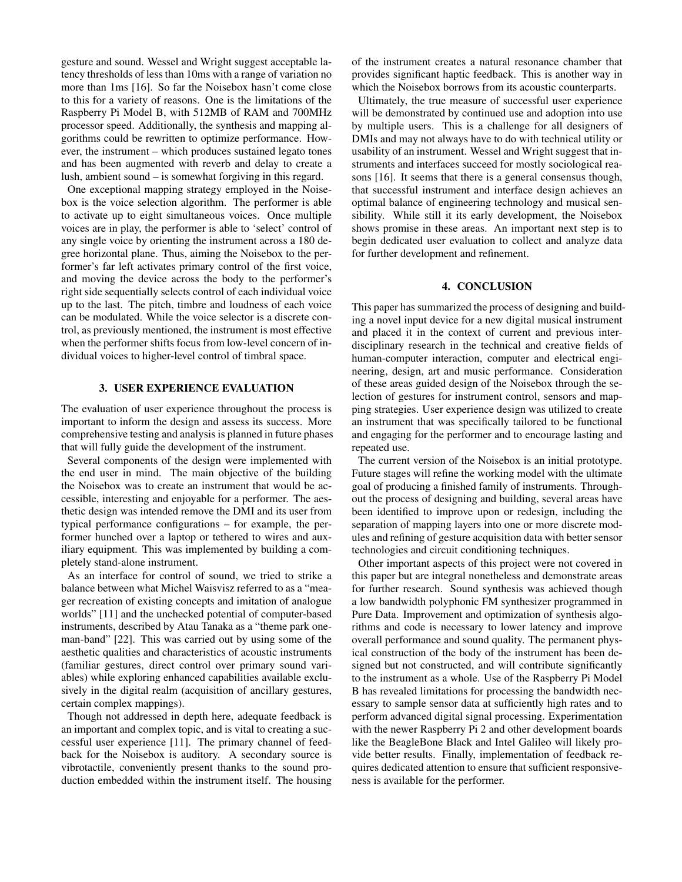gesture and sound. Wessel and Wright suggest acceptable latency thresholds of less than 10ms with a range of variation no more than 1ms [\[16\]](#page-3-15). So far the Noisebox hasn't come close to this for a variety of reasons. One is the limitations of the Raspberry Pi Model B, with 512MB of RAM and 700MHz processor speed. Additionally, the synthesis and mapping algorithms could be rewritten to optimize performance. However, the instrument – which produces sustained legato tones and has been augmented with reverb and delay to create a lush, ambient sound – is somewhat forgiving in this regard.

One exceptional mapping strategy employed in the Noisebox is the voice selection algorithm. The performer is able to activate up to eight simultaneous voices. Once multiple voices are in play, the performer is able to 'select' control of any single voice by orienting the instrument across a 180 degree horizontal plane. Thus, aiming the Noisebox to the performer's far left activates primary control of the first voice, and moving the device across the body to the performer's right side sequentially selects control of each individual voice up to the last. The pitch, timbre and loudness of each voice can be modulated. While the voice selector is a discrete control, as previously mentioned, the instrument is most effective when the performer shifts focus from low-level concern of individual voices to higher-level control of timbral space.

## 3. USER EXPERIENCE EVALUATION

The evaluation of user experience throughout the process is important to inform the design and assess its success. More comprehensive testing and analysis is planned in future phases that will fully guide the development of the instrument.

Several components of the design were implemented with the end user in mind. The main objective of the building the Noisebox was to create an instrument that would be accessible, interesting and enjoyable for a performer. The aesthetic design was intended remove the DMI and its user from typical performance configurations – for example, the performer hunched over a laptop or tethered to wires and auxiliary equipment. This was implemented by building a completely stand-alone instrument.

As an interface for control of sound, we tried to strike a balance between what Michel Waisvisz referred to as a "meager recreation of existing concepts and imitation of analogue worlds" [\[11\]](#page-3-10) and the unchecked potential of computer-based instruments, described by Atau Tanaka as a "theme park oneman-band" [\[22\]](#page-3-21). This was carried out by using some of the aesthetic qualities and characteristics of acoustic instruments (familiar gestures, direct control over primary sound variables) while exploring enhanced capabilities available exclusively in the digital realm (acquisition of ancillary gestures, certain complex mappings).

Though not addressed in depth here, adequate feedback is an important and complex topic, and is vital to creating a successful user experience [\[11\]](#page-3-10). The primary channel of feedback for the Noisebox is auditory. A secondary source is vibrotactile, conveniently present thanks to the sound production embedded within the instrument itself. The housing of the instrument creates a natural resonance chamber that provides significant haptic feedback. This is another way in which the Noisebox borrows from its acoustic counterparts.

Ultimately, the true measure of successful user experience will be demonstrated by continued use and adoption into use by multiple users. This is a challenge for all designers of DMIs and may not always have to do with technical utility or usability of an instrument. Wessel and Wright suggest that instruments and interfaces succeed for mostly sociological reasons [\[16\]](#page-3-15). It seems that there is a general consensus though, that successful instrument and interface design achieves an optimal balance of engineering technology and musical sensibility. While still it its early development, the Noisebox shows promise in these areas. An important next step is to begin dedicated user evaluation to collect and analyze data for further development and refinement.

## 4. CONCLUSION

This paper has summarized the process of designing and building a novel input device for a new digital musical instrument and placed it in the context of current and previous interdisciplinary research in the technical and creative fields of human-computer interaction, computer and electrical engineering, design, art and music performance. Consideration of these areas guided design of the Noisebox through the selection of gestures for instrument control, sensors and mapping strategies. User experience design was utilized to create an instrument that was specifically tailored to be functional and engaging for the performer and to encourage lasting and repeated use.

The current version of the Noisebox is an initial prototype. Future stages will refine the working model with the ultimate goal of producing a finished family of instruments. Throughout the process of designing and building, several areas have been identified to improve upon or redesign, including the separation of mapping layers into one or more discrete modules and refining of gesture acquisition data with better sensor technologies and circuit conditioning techniques.

Other important aspects of this project were not covered in this paper but are integral nonetheless and demonstrate areas for further research. Sound synthesis was achieved though a low bandwidth polyphonic FM synthesizer programmed in Pure Data. Improvement and optimization of synthesis algorithms and code is necessary to lower latency and improve overall performance and sound quality. The permanent physical construction of the body of the instrument has been designed but not constructed, and will contribute significantly to the instrument as a whole. Use of the Raspberry Pi Model B has revealed limitations for processing the bandwidth necessary to sample sensor data at sufficiently high rates and to perform advanced digital signal processing. Experimentation with the newer Raspberry Pi 2 and other development boards like the BeagleBone Black and Intel Galileo will likely provide better results. Finally, implementation of feedback requires dedicated attention to ensure that sufficient responsiveness is available for the performer.